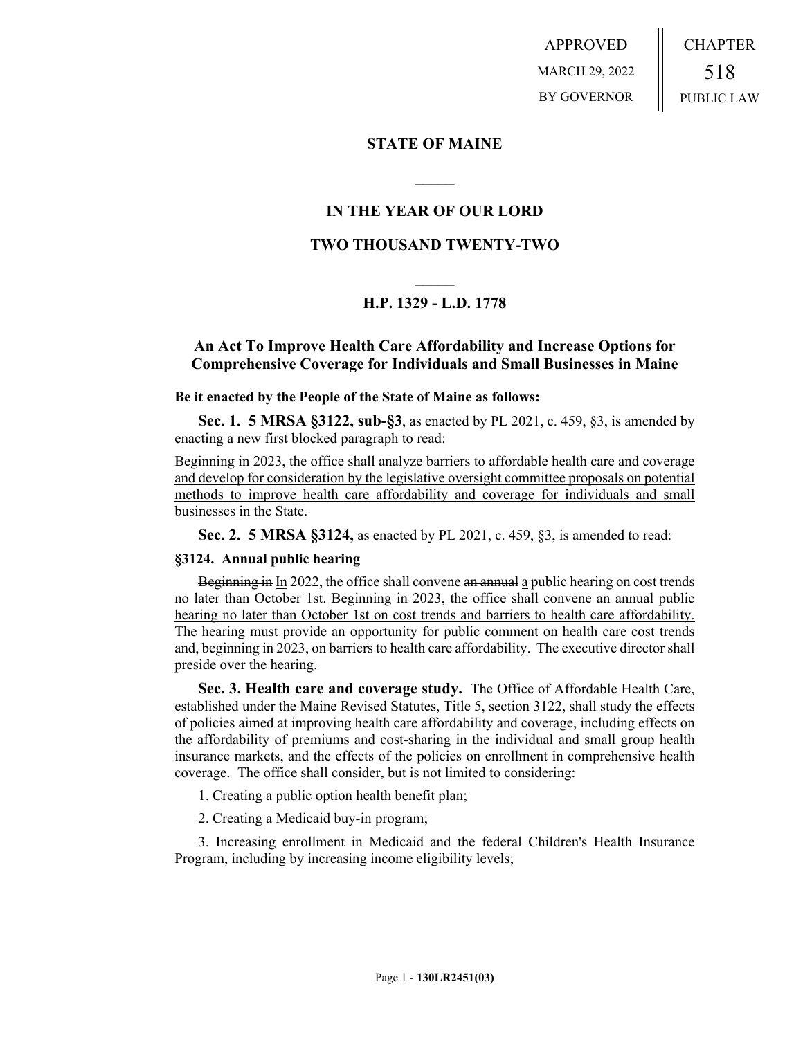APPROVED MARCH 29, 2022 BY GOVERNOR CHAPTER 518 PUBLIC LAW

## **STATE OF MAINE**

# **IN THE YEAR OF OUR LORD**

**\_\_\_\_\_**

## **TWO THOUSAND TWENTY-TWO**

# **\_\_\_\_\_ H.P. 1329 - L.D. 1778**

# **An Act To Improve Health Care Affordability and Increase Options for Comprehensive Coverage for Individuals and Small Businesses in Maine**

#### **Be it enacted by the People of the State of Maine as follows:**

**Sec. 1. 5 MRSA §3122, sub-§3**, as enacted by PL 2021, c. 459, §3, is amended by enacting a new first blocked paragraph to read:

Beginning in 2023, the office shall analyze barriers to affordable health care and coverage and develop for consideration by the legislative oversight committee proposals on potential methods to improve health care affordability and coverage for individuals and small businesses in the State.

**Sec. 2. 5 MRSA §3124,** as enacted by PL 2021, c. 459, §3, is amended to read:

### **§3124. Annual public hearing**

Beginning in  $In 2022$ , the office shall convene an annual a public hearing on cost trends no later than October 1st. Beginning in 2023, the office shall convene an annual public hearing no later than October 1st on cost trends and barriers to health care affordability. The hearing must provide an opportunity for public comment on health care cost trends and, beginning in 2023, on barriers to health care affordability. The executive director shall preside over the hearing.

**Sec. 3. Health care and coverage study.** The Office of Affordable Health Care, established under the Maine Revised Statutes, Title 5, section 3122, shall study the effects of policies aimed at improving health care affordability and coverage, including effects on the affordability of premiums and cost-sharing in the individual and small group health insurance markets, and the effects of the policies on enrollment in comprehensive health coverage. The office shall consider, but is not limited to considering:

1. Creating a public option health benefit plan;

2. Creating a Medicaid buy-in program;

3. Increasing enrollment in Medicaid and the federal Children's Health Insurance Program, including by increasing income eligibility levels;